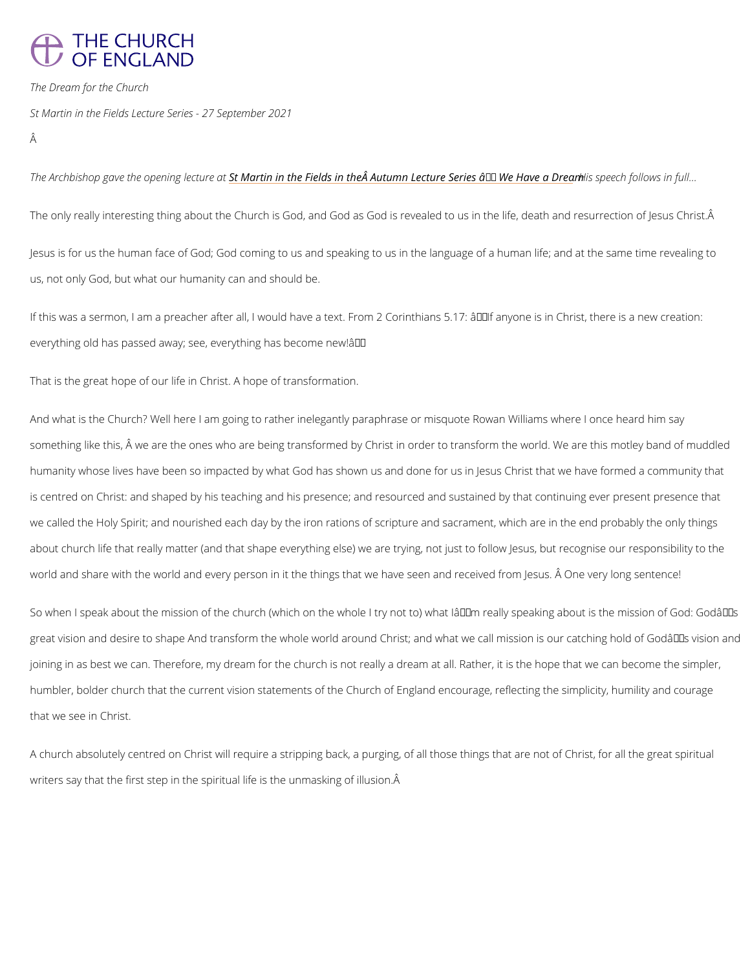## **THE CHURCH** OF ENGLAND

The Dream for the Church

St Martin in the Fields Lecture Series - 27 September 2021

Â

The Archbishop gave the oSpteMaiianng inheicntutnhee aFfields in the Autumn LectureHSsensipeseâc€fft6Melokwistvien

The only really interesting thing about the Church is God, and God as God is revealed to us

Jesus is for us the human face of God; God coming to us and speaking to us in the language us, not only God, but what our humanity can and should be.

If this was a sermon, I am a preacher after all, I would have a text. From 2 Corinthians 5.17: everything old has passed away; see, everything has become new!â $\epsilon$ .

That is the great hope of our life in Christ. A hope of transformation.

And what is the Church? Well here I am going to rather inelegantly paraphrase or misquote R something like this,  $\hat{\mathsf{A}}$  we are the ones who are being transformed by Christ in order to trans: humanity whose lives have been so impacted by what God has shown us and done for us in Je is centred on Christ: and shaped by his teaching and his presence; and resourced and sustai we called the Holy Spirit; and nourished each day by the iron rations of scripture and sacram about church life that really matter (and that shape everything else) we are trying, not just t world and share with the world and every person in it the things that we have seen and recei

So when I speak about the mission of the church (which on the whole I try not to) what  $1\hat{a} \in \text{TM}$ great vision and desire to shape And transform the whole world around Christ; and what we c joining in as best we can. Therefore, my dream for the church is not really a dream at all. Ra humbler, bolder church that the current vision statements of the Church of England encourag that we see in Christ.

A church absolutely centred on Christ will require a stripping back, a purging, of all those th writers say that the first step in the spiritual life is the unmasking of illusion.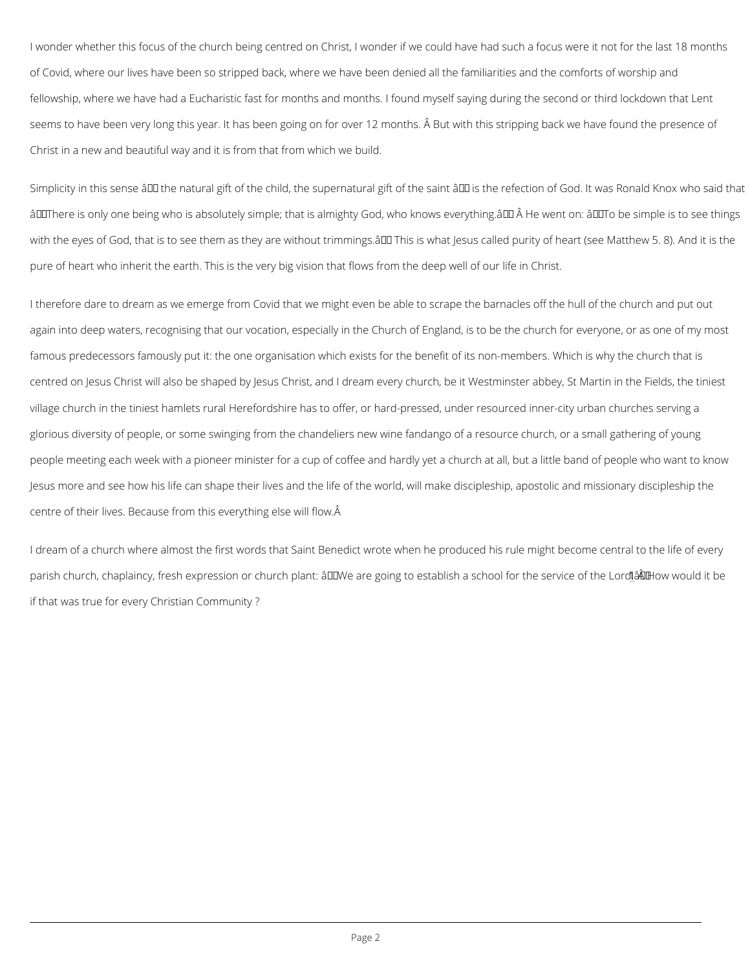<span id="page-1-0"></span>I wonder whether this focus of the church being centred on Christ, I wonder if we could have of Covid, where our lives have been so stripped back, where we have been denied all the fam fellowship, where we have had a Eucharistic fast for months and months. I found myself sayi seems to have been very long this year. It has been going on for over 12 months.  $\hat{A}$  But with Christ in a new and beautiful way and it is from that from which we build.

Simplicity in this sense  $\hat{a} \in$  the natural gift of the child, the supernatural gift of the saint  $\hat{a} \in$  $\hat{a} \in \infty$  There is only one being who is absolutely simple; that is almighty God, who knows every with the eyes of God, that is to see them as they are without trimmings.  $\hat{a} \in \bullet$  This is what Jesus pure of heart who inherit the earth. This is the very big vision that flows from the deep well

I therefore dare to dream as we emerge from Covid that we might even be able to scrape the again into deep waters, recognising that our vocation, especially in the Church of England, i famous predecessors famously put it: the one organisation which exists for the benefit of its centred on Jesus Christ will also be shaped by Jesus Christ, and I dream every church, be it village church in the tiniest hamlets rural Herefordshire has to offer, or hard-pressed, under glorious diversity of people, or some swinging from the chandeliers new wine fandango of a resource church, or people meeting each week with a pioneer minister for a cup of coffee and hardly yet a church Jesus more and see how his life can shape their lives and the life of the world, will make dis centre of their lives. Because from this everything else will flow.

I dream of a church where almost the first words that Saint Benedict wrote when he produced parish church, chaplaincy, fresh expression or church plant: "We are [g](#page-7-0)oing tÑo Heoswabwloi**sh**dai if that was true for every Christian Community ?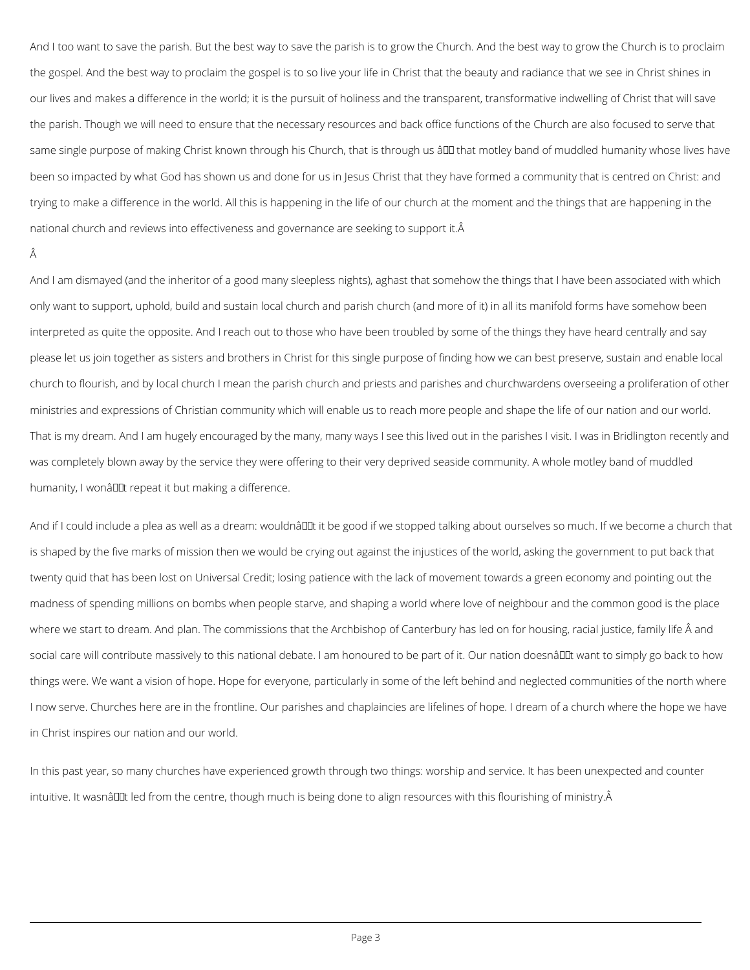And I too want to save the parish. But the best way to save the parish is to grow the Church. And the best way to grow the Church is to proclaim the gospel. And the best way to proclaim the gospel is to so live your life in Christ that the beauty and radiance that we see in Christ shines in our lives and makes a difference in the world; it is the pursuit of holiness and the transparent, transformative indwelling of Christ that will save the parish. Though we will need to ensure that the necessary resources and back office functions of the Church are also focused to serve that same single purpose of making Christ known through his Church, that is through us â <del>DD</del> that motley band of muddled humanity whose lives have been so impacted by what God has shown us and done for us in Jesus Christ that they have formed a community that is centred on Christ: and trying to make a difference in the world. All this is happening in the life of our church at the moment and the things that are happening in the national church and reviews into effectiveness and governance are seeking to support it. Â

## Â

And I am dismayed (and the inheritor of a good many sleepless nights), aghast that somehow the things that I have been associated with which only want to support, uphold, build and sustain local church and parish church (and more of it) in all its manifold forms have somehow been interpreted as quite the opposite. And I reach out to those who have been troubled by some of the things they have heard centrally and say please let us join together as sisters and brothers in Christ for this single purpose of finding how we can best preserve, sustain and enable local church to flourish, and by local church I mean the parish church and priests and parishes and churchwardens overseeing a proliferation of other ministries and expressions of Christian community which will enable us to reach more people and shape the life of our nation and our world. That is my dream. And I am hugely encouraged by the many, many ways I see this lived out in the parishes I visit. I was in Bridlington recently and was completely blown away by the service they were offering to their very deprived seaside community. A whole motley band of muddled humanity, I wonâllet repeat it but making a difference.

And if I could include a plea as well as a dream: wouldnâult it be good if we stopped talking about ourselves so much. If we become a church that is shaped by the five marks of mission then we would be crying out against the injustices of the world, asking the government to put back that twenty quid that has been lost on Universal Credit; losing patience with the lack of movement towards a green economy and pointing out the madness of spending millions on bombs when people starve, and shaping a world where love of neighbour and the common good is the place where we start to dream. And plan. The commissions that the Archbishop of Canterbury has led on for housing, racial justice, family life  $\hat{A}$  and social care will contribute massively to this national debate. I am honoured to be part of it. Our nation doesnâll twant to simply go back to how things were. We want a vision of hope. Hope for everyone, particularly in some of the left behind and neglected communities of the north where I now serve. Churches here are in the frontline. Our parishes and chaplaincies are lifelines of hope. I dream of a church where the hope we have

In this past year, so many churches have experienced growth through two things: worship and service. It has been unexpected and counter

intuitive. It wasnâl Lt led from the centre, though much is being done to align resources with this flourishing of ministry. Â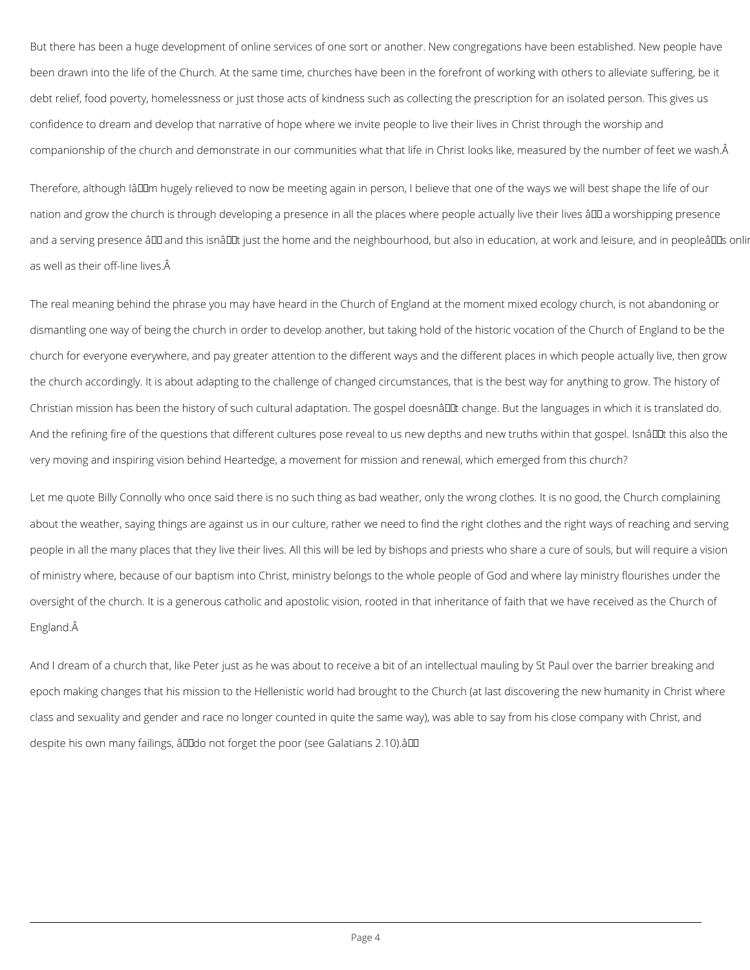But there has been a huge development of online services of one sort or another. New congregations have been established. New people have been drawn into the life of the Church. At the same time, churches have been in the forefront of working with others to alleviate suffering, be it debt relief, food poverty, homelessness or just those acts of kindness such as collecting the prescription for an isolated person. This gives us confidence to dream and develop that narrative of hope where we invite people to live their lives in Christ through the worship and companionship of the church and demonstrate in our communities what that life in Christ looks like, measured by the number of feet we wash.

Therefore, although IâDDm hugely relieved to now be meeting again in person, I believe that one of the ways we will best shape the life of our nation and grow the church is through developing a presence in all the places where people actually live their lives â ll a worshipping presence and a serving presence ând and this isnând just the home and the neighbourhood, but also in education, at work and leisure, and in peopleânds onlin as well as their off-line lives.

The real meaning behind the phrase you may have heard in the Church of England at the moment mixed ecology church, is not abandoning or dismantling one way of being the church in order to develop another, but taking hold of the historic vocation of the Church of England to be the church for everyone everywhere, and pay greater attention to the different ways and the different places in which people actually live, then grow the church accordingly. It is about adapting to the challenge of changed circumstances, that is the best way for anything to grow. The history of Christian mission has been the history of such cultural adaptation. The gospel doesnâll tchange. But the languages in which it is translated do. And the refining fire of the questions that different cultures pose reveal to us new depths and new truths within that gospel. Isnâl ut this also the very moving and inspiring vision behind Heartedge, a movement for mission and renewal, which emerged from this church?

Let me quote Billy Connolly who once said there is no such thing as bad weather, only the wrong clothes. It is no good, the Church complaining about the weather, saying things are against us in our culture, rather we need to find the right clothes and the right ways of reaching and serving people in all the many places that they live their lives. All this will be led by bishops and priests who share a cure of souls, but will require a vision of ministry where, because of our baptism into Christ, ministry belongs to the whole people of God and where lay ministry flourishes under the oversight of the church. It is a generous catholic and apostolic vision, rooted in that inheritance of faith that we have received as the Church of England.

And I dream of a church that, like Peter just as he was about to receive a bit of an intellectual mauling by St Paul over the barrier breaking and epoch making changes that his mission to the Hellenistic world had brought to the Church (at last discovering the new humanity in Christ where class and sexuality and gender and race no longer counted in quite the same way), was able to say from his close company with Christ, and

despite his own many failings, â00 not forget the poor (see Galatians 2.10). â00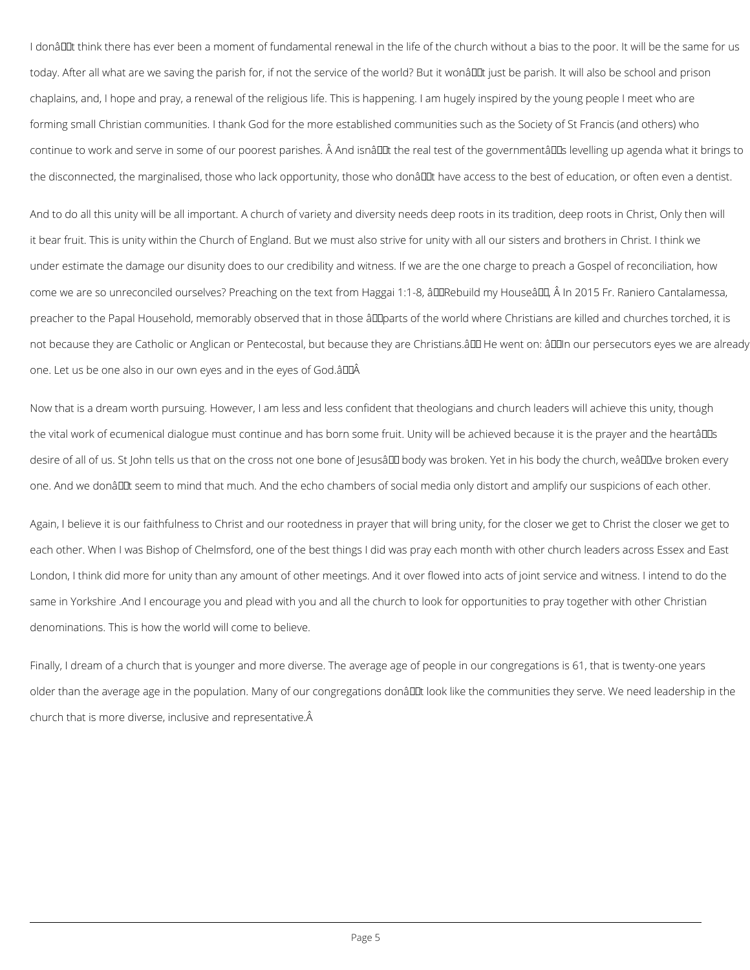Now that is a dream worth pursuing. However, I am less and less confident that theologians and church leaders will achieve this unity, though the vital work of ecumenical dialogue must continue and has born some fruit. Unity will be achieved because it is the prayer and the heartâll Is desire of all of us. St John tells us that on the cross not one bone of Jesusâll body was broken. Yet in his body the church, weâll Dve broken every one. And we donâl Lat seem to mind that much. And the echo chambers of social media only distort and amplify our suspicions of each other.

I donâu think there has ever been a moment of fundamental renewal in the life of the church without a bias to the poor. It will be the same for us today. After all what are we saving the parish for, if not the service of the world? But it wonâl Lut just be parish. It will also be school and prison chaplains, and, I hope and pray, a renewal of the religious life. This is happening. I am hugely inspired by the young people I meet who are forming small Christian communities. I thank God for the more established communities such as the Society of St Francis (and others) who continue to work and serve in some of our poorest parishes. Â And isnâll the real test of the governmentâl us levelling up agenda what it brings to the disconnected, the marginalised, those who lack opportunity, those who donâl I have access to the best of education, or often even a dentist.

And to do all this unity will be all important. A church of variety and diversity needs deep roots in its tradition, deep roots in Christ, Only then will it bear fruit. This is unity within the Church of England. But we must also strive for unity with all our sisters and brothers in Christ. I think we under estimate the damage our disunity does to our credibility and witness. If we are the one charge to preach a Gospel of reconciliation, how come we are so unreconciled ourselves? Preaching on the text from Haggai 1:1-8, âDDRebuild my HouseâDD, Â In 2015 Fr. Raniero Cantalamessa, preacher to the Papal Household, memorably observed that in those âll parts of the world where Christians are killed and churches torched, it is not because they are Catholic or Anglican or Pentecostal, but because they are Christians. ADD He went on: ADDIn our persecutors eyes we are already one. Let us be one also in our own eyes and in the eyes of God.â

Again, I believe it is our faithfulness to Christ and our rootedness in prayer that will bring unity, for the closer we get to Christ the closer we get to each other. When I was Bishop of Chelmsford, one of the best things I did was pray each month with other church leaders across Essex and East London, I think did more for unity than any amount of other meetings. And it over flowed into acts of joint service and witness. I intend to do the same in Yorkshire .And I encourage you and plead with you and all the church to look for opportunities to pray together with other Christian denominations. This is how the world will come to believe.

Finally, I dream of a church that is younger and more diverse. The average age of people in our congregations is 61, that is twenty-one years older than the average age in the population. Many of our congregations donâl Lt look like the communities they serve. We need leadership in the church that is more diverse, inclusive and representative.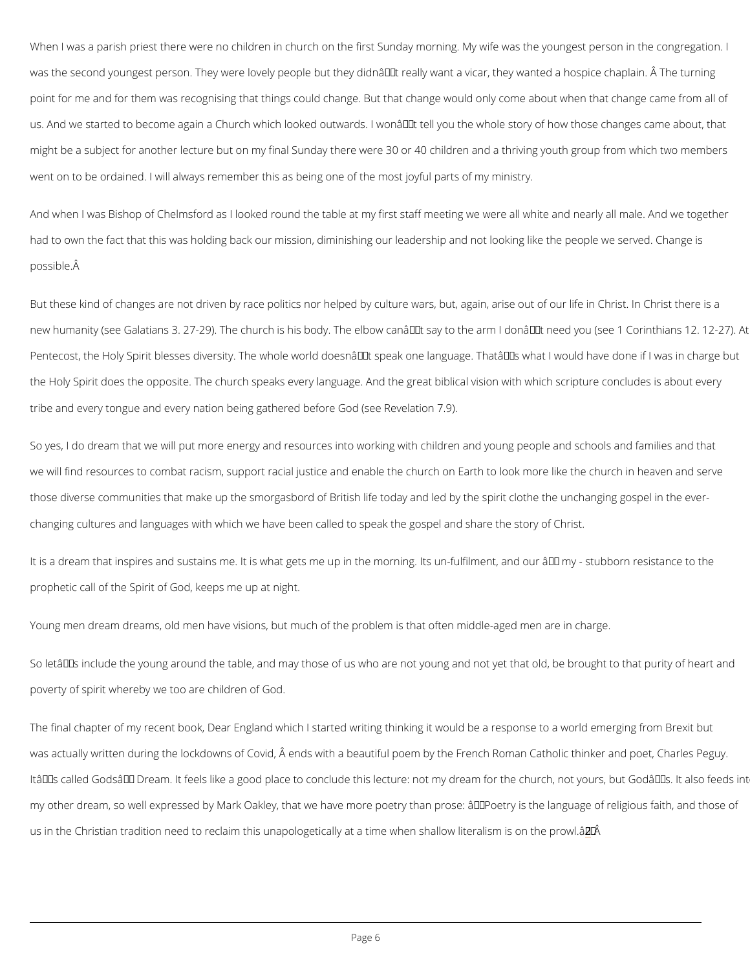<span id="page-5-0"></span>When I was a parish priest there were no children in church on the first Sunday morning. My was the second youngest person. They were lovely people but they didnâ $\in$  TM treally want a vi point for me and for them was recognising that things could change. But that change would o us. And we started to become again a Church which looked outwards. I won't tell you the might be a subject for another lecture but on my final Sunday there were 30 or 40 children a went on to be ordained. I will always remember this as being one of the most joyful parts of

And when I was Bishop of Chelmsford as I looked round the table at my first staff meeting we had to own the fact that this was holding back our mission, diminishing our leadership and no possible.

But these kind of changes are not driven by race politics nor helped by culture wars, but, ag new humanity (see Galatians 3. 27-29). The church is his body. The elbow canâ $\in$  Mt say to th Pentecost, the Holy Spirit blesses diversity. The whole world doesn't speak one language the Holy Spirit does the opposite. The church speaks every language. And the great biblical tribe and every tongue and every nation being gathered before God (see Revelation 7.9).

So yes, I do dream that we will put more energy and resources into working with children and we will find resources to combat racism, support racial justice and enable the church on Eart those diverse communities that make up the smorgasbord of British life today and led by the changing cultures and languages with which we have been called to speak the gospel and sha

It is a dream that inspires and sustains me. It is what gets me up in the morning. Its un-fulfi prophetic call of the Spirit of God, keeps me up at night.

Young men dream dreams, old men have visions, but much of the problem is that often middle

So letâ $\epsilon$ <sup>TM</sup>s include the young around the table, and may those of us who are not young and r poverty of spirit whereby we too are children of God.

The final chapter of my recent book, Dear England which I started writing thinking it would b

was actually written during the lockdowns of Covid,  $\hat{\mathsf{A}}$  ends with a beautiful poem by the Frer

It's called Gods' Dream. It feels like a good place to conclude this lecture: not my dr

my other dream, so well expressed by Mark Oakley, that we have more poetry than prose:  $\hat{a} \in \mathbb{R}^d$ 

us in the Chris[ti](#page-7-0)an tradition need to reclaim this unapologetically at a t2m<sup>2</sup>e when shallow lite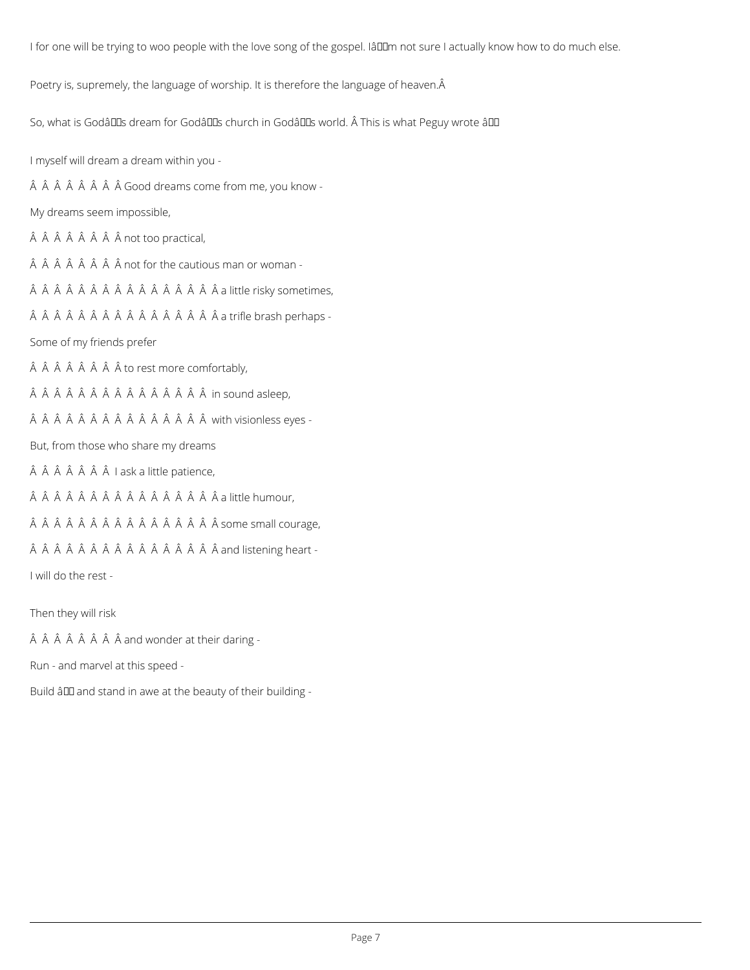I for one will be trying to woo people with the love song of the gospel. IâDDm not sure I actually know how to do much else.

Poetry is, supremely, the language of worship. It is therefore the language of heaven. A

So, what is Godâlles dream for Godâlles church in Godâlles world. Â This is what Peguy wrote âlle

I myself will dream a dream within you -

Â Â Â Â Â Â Â Good dreams come from me, you know -

My dreams seem impossible,

Â Â Â Â Â Â not too practical,

 $\hat{A}$   $\hat{A}$   $\hat{A}$   $\hat{A}$   $\hat{A}$   $\hat{A}$   $\hat{A}$   $\hat{A}$   $\hat{A}$   $\hat{A}$   $\hat{A}$   $\hat{A}$   $\hat{A}$   $\hat{A}$   $\hat{A}$   $\hat{A}$   $\hat{A}$   $\hat{A}$   $\hat{A}$   $\hat{A}$   $\hat{A}$   $\hat{A}$   $\hat{A}$   $\hat{A}$   $\hat{A}$   $\hat{A}$   $\hat{A}$   $\hat{A$ 

ÂÂÂÂÂÂÂÂÂÂÂÂÂÂÂÂâlittle risky sometimes,

ÂÂÂÂÂÂÂÂÂÂÂÂÂÂÂÂa trifle brash perhaps -

Some of my friends prefer

 $\hat{A}$   $\hat{A}$   $\hat{A}$   $\hat{A}$   $\hat{A}$   $\hat{A}$   $\hat{A}$   $\hat{A}$  to rest more comfortably,

ÂÂÂÂÂÂÂÂÂÂÂÂÂÂ in sound asleep,

ÂÂÂÂÂÂÂÂÂÂÂÂÂÂÂ with visionless eyes -

But, from those who share my dreams

 $\hat{A}$   $\hat{A}$   $\hat{A}$   $\hat{A}$   $\hat{A}$   $\hat{A}$   $I$  ask a little patience,

ÂÂÂÂÂÂÂÂÂÂÂÂÂÂÂ a little humour,

ÂÂÂÂÂÂÂÂÂÂÂÂÂÂÂSome small courage,

ÂÂÂÂÂÂÂÂÂÂÂÂÂÂÂÂand listening heart -

I will do the rest -

Then they will risk

 $\hat{A}$   $\hat{A}$   $\hat{A}$   $\hat{A}$   $\hat{A}$   $\hat{A}$   $\hat{A}$   $\hat{A}$  and wonder at their daring -

Run - and marvel at this speed -

Build â D and stand in awe at the beauty of their building -